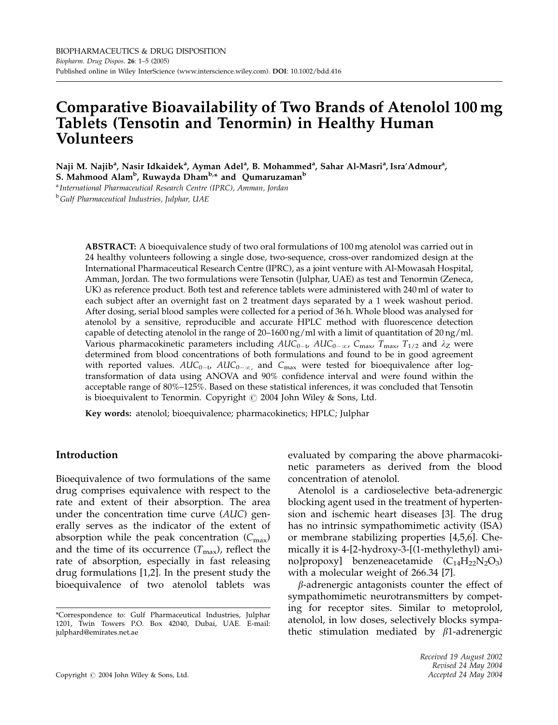# Comparative Bioavailability of Two Brands of Atenolol 100 mg Tablets (Tensotin and Tenormin) in Healthy Human Volunteers

Naji M. Najib<sup>a</sup>, Nasir Idkaidek<sup>a</sup>, Ayman Adel<sup>a</sup>, B. Mohammed<sup>a</sup>, Sahar Al-Masri<sup>a</sup>, Isra′Admour<sup>a</sup>,

S. Mahmood Alam<sup>b</sup>, Ruwayda Dham<sup>b,</sup>\* and Qumaruzaman<sup>b</sup>

a International Pharmaceutical Research Centre (IPRC), Amman, Jordan <sup>b</sup>Gulf Pharmaceutical Industries, Julphar, UAE

> ABSTRACT: A bioequivalence study of two oral formulations of 100 mg atenolol was carried out in 24 healthy volunteers following a single dose, two-sequence, cross-over randomized design at the International Pharmaceutical Research Centre (IPRC), as a joint venture with Al-Mowasah Hospital, Amman, Jordan. The two formulations were Tensotin (Julphar, UAE) as test and Tenormin (Zeneca, UK) as reference product. Both test and reference tablets were administered with 240 ml of water to each subject after an overnight fast on 2 treatment days separated by a 1 week washout period. After dosing, serial blood samples were collected for a period of 36 h. Whole blood was analysed for atenolol by a sensitive, reproducible and accurate HPLC method with fluorescence detection capable of detecting atenolol in the range of  $20-1600 \text{ ng/ml}$  with a limit of quantitation of  $20 \text{ ng/ml}$ . Various pharmacokinetic parameters including  $AUC_{0-t}$ ,  $AUC_{0-\alpha}$ ,  $C_{\text{max}}$ ,  $T_{\text{max}}$ ,  $T_{1/2}$  and  $\lambda$ <sub>Z</sub> were determined from blood concentrations of both formulations and found to be in good agreement with reported values.  $AUC_{0-\alpha}$ ,  $AUC_{0-\alpha}$ , and  $C_{\max}$  were tested for bioequivalence after logtransformation of data using ANOVA and 90% confidence interval and were found within the acceptable range of 80%–125%. Based on these statistical inferences, it was concluded that Tensotin is bioequivalent to Tenormin. Copyright  $\odot$  2004 John Wiley & Sons, Ltd.

Key words: atenolol; bioequivalence; pharmacokinetics; HPLC; Julphar

# Introduction

Bioequivalence of two formulations of the same drug comprises equivalence with respect to the rate and extent of their absorption. The area under the concentration time curve (AUC) generally serves as the indicator of the extent of absorption while the peak concentration  $(C_{\text{max}})$ and the time of its occurrence  $(T_{\text{max}})$ , reflect the rate of absorption, especially in fast releasing drug formulations [1,2]. In the present study the bioequivalence of two atenolol tablets was evaluated by comparing the above pharmacokinetic parameters as derived from the blood concentration of atenolol.

Atenolol is a cardioselective beta-adrenergic blocking agent used in the treatment of hypertension and ischemic heart diseases [3]. The drug has no intrinsic sympathomimetic activity (ISA) or membrane stabilizing properties [4,5,6]. Chemically it is 4-[2-hydroxy-3-[(1-methylethyl) amino]propoxy] benzeneacetamide  $(C_{14}H_{22}N_2O_3)$ with a molecular weight of 266.34 [7].

 $\beta$ -adrenergic antagonists counter the effect of sympathomimetic neurotransmitters by competing for receptor sites. Similar to metoprolol, atenolol, in low doses, selectively blocks sympathetic stimulation mediated by  $\beta$ 1-adrenergic

<sup>\*</sup>Correspondence to: Gulf Pharmaceutical Industries, Julphar 1201, Twin Towers P.O. Box 42040, Dubai, UAE. E-mail: julphard@emirates.net.ae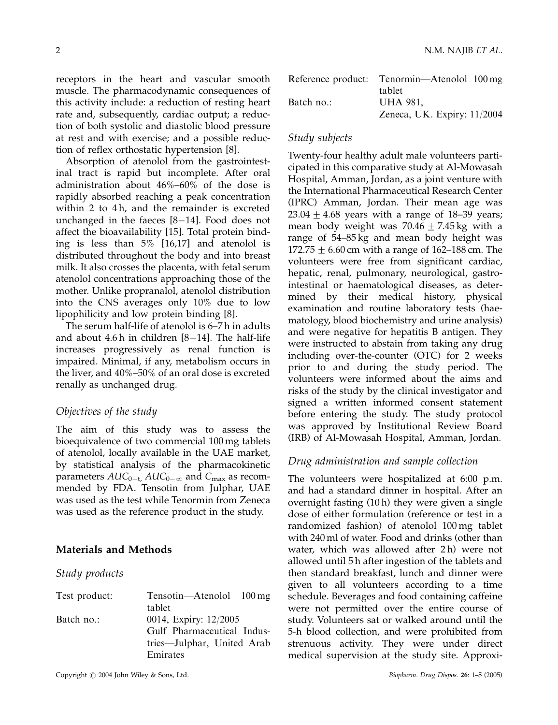receptors in the heart and vascular smooth muscle. The pharmacodynamic consequences of this activity include: a reduction of resting heart rate and, subsequently, cardiac output; a reduction of both systolic and diastolic blood pressure at rest and with exercise; and a possible reduction of reflex orthostatic hypertension [8].

Absorption of atenolol from the gastrointestinal tract is rapid but incomplete. After oral administration about 46%–60% of the dose is rapidly absorbed reaching a peak concentration within 2 to 4h, and the remainder is excreted unchanged in the faeces  $[8-14]$ . Food does not affect the bioavailability [15]. Total protein binding is less than 5% [16,17] and atenolol is distributed throughout the body and into breast milk. It also crosses the placenta, with fetal serum atenolol concentrations approaching those of the mother. Unlike propranalol, atenolol distribution into the CNS averages only 10% due to low lipophilicity and low protein binding [8].

The serum half-life of atenolol is 6–7 h in adults and about  $4.6 h$  in children  $[8-14]$ . The half-life increases progressively as renal function is impaired. Minimal, if any, metabolism occurs in the liver, and 40%–50% of an oral dose is excreted renally as unchanged drug.

# Objectives of the study

The aim of this study was to assess the bioequivalence of two commercial 100 mg tablets of atenolol, locally available in the UAE market, by statistical analysis of the pharmacokinetic parameters  $AUC_{0-t}$ ,  $AUC_{0-\alpha}$  and  $C_{\max}$  as recommended by FDA. Tensotin from Julphar, UAE was used as the test while Tenormin from Zeneca was used as the reference product in the study.

# Materials and Methods

#### Study products

| Test product: | Tensotin—Atenolol 100 mg   |  |  |
|---------------|----------------------------|--|--|
|               | tablet                     |  |  |
| Batch no.:    | 0014, Expiry: 12/2005      |  |  |
|               | Gulf Pharmaceutical Indus- |  |  |
|               | tries—Julphar, United Arab |  |  |
|               | Emirates                   |  |  |

Reference product: Tenormin—Atenolol 100 mg tablet Batch no.: UHA 981, Zeneca, UK. Expiry: 11/2004

## Study subjects

Twenty-four healthy adult male volunteers participated in this comparative study at Al-Mowasah Hospital, Amman, Jordan, as a joint venture with the International Pharmaceutical Research Center (IPRC) Amman, Jordan. Their mean age was  $23.04 \pm 4.68$  years with a range of 18–39 years; mean body weight was  $70.46 \pm 7.45 \,\mathrm{kg}$  with a range of 54–85 kg and mean body height was 172.75  $\pm$  6.60 cm with a range of 162–188 cm. The volunteers were free from significant cardiac, hepatic, renal, pulmonary, neurological, gastrointestinal or haematological diseases, as determined by their medical history, physical examination and routine laboratory tests (haematology, blood biochemistry and urine analysis) and were negative for hepatitis B antigen. They were instructed to abstain from taking any drug including over-the-counter (OTC) for 2 weeks prior to and during the study period. The volunteers were informed about the aims and risks of the study by the clinical investigator and signed a written informed consent statement before entering the study. The study protocol was approved by Institutional Review Board (IRB) of Al-Mowasah Hospital, Amman, Jordan.

## Drug administration and sample collection

The volunteers were hospitalized at 6:00 p.m. and had a standard dinner in hospital. After an overnight fasting (10 h) they were given a single dose of either formulation (reference or test in a randomized fashion) of atenolol 100 mg tablet with 240 ml of water. Food and drinks (other than water, which was allowed after 2h) were not allowed until 5 h after ingestion of the tablets and then standard breakfast, lunch and dinner were given to all volunteers according to a time schedule. Beverages and food containing caffeine were not permitted over the entire course of study. Volunteers sat or walked around until the 5-h blood collection, and were prohibited from strenuous activity. They were under direct medical supervision at the study site. Approxi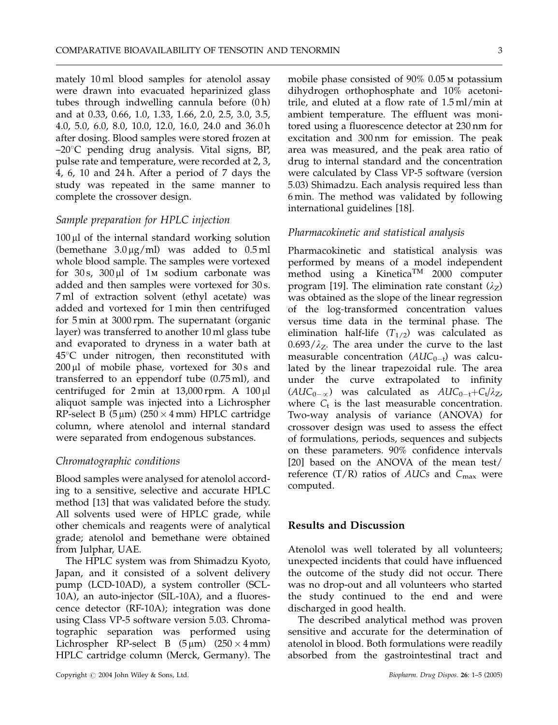mately 10 ml blood samples for atenolol assay were drawn into evacuated heparinized glass tubes through indwelling cannula before (0 h) and at 0.33, 0.66, 1.0, 1.33, 1.66, 2.0, 2.5, 3.0, 3.5, 4.0, 5.0, 6.0, 8.0, 10.0, 12.0, 16.0, 24.0 and 36.0 h after dosing. Blood samples were stored frozen at  $-20^{\circ}$ C pending drug analysis. Vital signs, BP, pulse rate and temperature, were recorded at 2, 3, 4, 6, 10 and 24 h. After a period of 7 days the study was repeated in the same manner to complete the crossover design.

# Sample preparation for HPLC injection

 $100 \mu l$  of the internal standard working solution (bemethane  $3.0 \,\mu g/ml$ ) was added to  $0.5 \,\text{ml}$ whole blood sample. The samples were vortexed for  $30 s$ ,  $300 \mu l$  of 1*M* sodium carbonate was added and then samples were vortexed for 30 s. 7 ml of extraction solvent (ethyl acetate) was added and vortexed for 1 min then centrifuged for 5 min at 3000 rpm. The supernatant (organic layer) was transferred to another 10 ml glass tube and evaporated to dryness in a water bath at  $45^{\circ}$ C under nitrogen, then reconstituted with  $200 \,\mu$ l of mobile phase, vortexed for  $30 \,\text{s}$  and transferred to an eppendorf tube (0.75 ml), and centrifuged for  $2 \text{ min}$  at  $13,000 \text{ rpm}$ . A  $100 \mu$ l aliquot sample was injected into a Lichrospher RP-select B  $(5 \mu m)$  (250  $\times$  4 mm) HPLC cartridge column, where atenolol and internal standard were separated from endogenous substances.

#### Chromatographic conditions

Blood samples were analysed for atenolol according to a sensitive, selective and accurate HPLC method [13] that was validated before the study. All solvents used were of HPLC grade, while other chemicals and reagents were of analytical grade; atenolol and bemethane were obtained from Julphar, UAE.

The HPLC system was from Shimadzu Kyoto, Japan, and it consisted of a solvent delivery pump (LCD-10AD), a system controller (SCL-10A), an auto-injector (SIL-10A), and a fluorescence detector (RF-10A); integration was done using Class VP-5 software version 5.03. Chromatographic separation was performed using Lichrospher RP-select B  $(5 \mu m)$   $(250 \times 4 \mu m)$ HPLC cartridge column (Merck, Germany). The mobile phase consisted of 90% 0.05 m potassium dihydrogen orthophosphate and 10% acetonitrile, and eluted at a flow rate of 1.5 ml/min at ambient temperature. The effluent was monitored using a fluorescence detector at 230 nm for excitation and 300 nm for emission. The peak area was measured, and the peak area ratio of drug to internal standard and the concentration were calculated by Class VP-5 software (version 5.03) Shimadzu. Each analysis required less than 6 min. The method was validated by following international guidelines [18].

## Pharmacokinetic and statistical analysis

Pharmacokinetic and statistical analysis was performed by means of a model independent method using a Kinetica<sup>TM</sup> 2000 computer program [19]. The elimination rate constant  $(\lambda_z)$ was obtained as the slope of the linear regression of the log-transformed concentration values versus time data in the terminal phase. The elimination half-life  $(T_{1/2})$  was calculated as  $0.693/\lambda_Z$ . The area under the curve to the last measurable concentration  $(AUC_{0-t})$  was calculated by the linear trapezoidal rule. The area under the curve extrapolated to infinity  $(AUC_{0-\alpha})$  was calculated as  $AUC_{0-t} + C_t/\lambda_Z$ , where  $C_t$  is the last measurable concentration. Two-way analysis of variance (ANOVA) for crossover design was used to assess the effect of formulations, periods, sequences and subjects on these parameters. 90% confidence intervals [20] based on the ANOVA of the mean test/ reference  $(T/R)$  ratios of AUCs and  $C_{\text{max}}$  were computed.

## Results and Discussion

Atenolol was well tolerated by all volunteers; unexpected incidents that could have influenced the outcome of the study did not occur. There was no drop-out and all volunteers who started the study continued to the end and were discharged in good health.

The described analytical method was proven sensitive and accurate for the determination of atenolol in blood. Both formulations were readily absorbed from the gastrointestinal tract and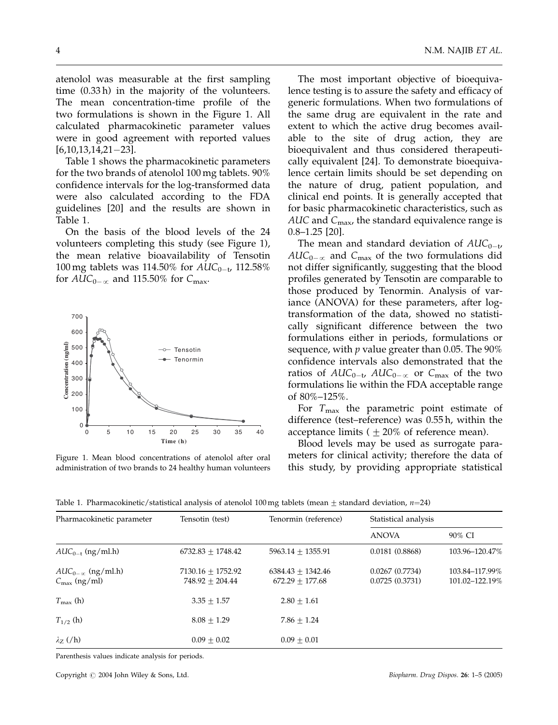atenolol was measurable at the first sampling time (0.33 h) in the majority of the volunteers. The mean concentration-time profile of the two formulations is shown in the Figure 1. All calculated pharmacokinetic parameter values were in good agreement with reported values  $[6,10,13,14,21-23]$ .

Table 1 shows the pharmacokinetic parameters for the two brands of atenolol 100 mg tablets. 90% confidence intervals for the log-transformed data were also calculated according to the FDA guidelines [20] and the results are shown in Table 1.

On the basis of the blood levels of the 24 volunteers completing this study (see Figure 1), the mean relative bioavailability of Tensotin 100 mg tablets was 114.50% for  $AUC_{0-t}$ , 112.58% for  $AUC_{0-\alpha}$  and 115.50% for  $C_{\text{max}}$ .



Figure 1. Mean blood concentrations of atenolol after oral administration of two brands to 24 healthy human volunteers

The most important objective of bioequivalence testing is to assure the safety and efficacy of generic formulations. When two formulations of the same drug are equivalent in the rate and extent to which the active drug becomes available to the site of drug action, they are bioequivalent and thus considered therapeutically equivalent [24]. To demonstrate bioequivalence certain limits should be set depending on the nature of drug, patient population, and clinical end points. It is generally accepted that for basic pharmacokinetic characteristics, such as AUC and  $C_{\text{max}}$ , the standard equivalence range is 0.8–1.25 [20].

The mean and standard deviation of  $AUC_{0-t}$ ,  $AUC_{0-\alpha}$  and  $C_{\text{max}}$  of the two formulations did not differ significantly, suggesting that the blood profiles generated by Tensotin are comparable to those produced by Tenormin. Analysis of variance (ANOVA) for these parameters, after logtransformation of the data, showed no statistically significant difference between the two formulations either in periods, formulations or sequence, with  $p$  value greater than 0.05. The  $90\%$ confidence intervals also demonstrated that the ratios of  $AUC_{0-t}$ ,  $AUC_{0-\alpha}$  or  $C_{\text{max}}$  of the two formulations lie within the FDA acceptable range of 80%–125%.

For  $T_{\text{max}}$  the parametric point estimate of difference (test–reference) was 0.55 h, within the acceptance limits ( $\pm 20\%$  of reference mean).

Blood levels may be used as surrogate parameters for clinical activity; therefore the data of this study, by providing appropriate statistical

Table 1. Pharmacokinetic/statistical analysis of atenolol 100 mg tablets (mean  $\pm$  standard deviation,  $n$ =24)

| Pharmacokinetic parameter                              | Tensotin (test)                            | Tenormin (reference)                     | Statistical analysis             |                                  |
|--------------------------------------------------------|--------------------------------------------|------------------------------------------|----------------------------------|----------------------------------|
|                                                        |                                            |                                          | <b>ANOVA</b>                     | 90% CI                           |
| $AUC_{0-1}$ (ng/ml.h)                                  | $6732.83 + 1748.42$                        | $5963.14 + 1355.91$                      | 0.0181(0.8868)                   | 103.96-120.47%                   |
| $AUC_{0-\alpha}$ (ng/ml.h)<br>$C_{\text{max}}$ (ng/ml) | $7130.16 + 1752.92$<br>$748.92 \pm 204.44$ | $6384.43 + 1342.46$<br>$672.29 + 177.68$ | 0.0267(0.7734)<br>0.0725(0.3731) | 103.84-117.99%<br>101.02-122.19% |
| $T_{\text{max}}$ (h)                                   | $3.35 + 1.57$                              | $2.80 + 1.61$                            |                                  |                                  |
| $T_{1/2}$ (h)                                          | $8.08 + 1.29$                              | $7.86 + 1.24$                            |                                  |                                  |
| $\lambda_z$ (/h)                                       | $0.09 + 0.02$                              | $0.09 + 0.01$                            |                                  |                                  |

Parenthesis values indicate analysis for periods.